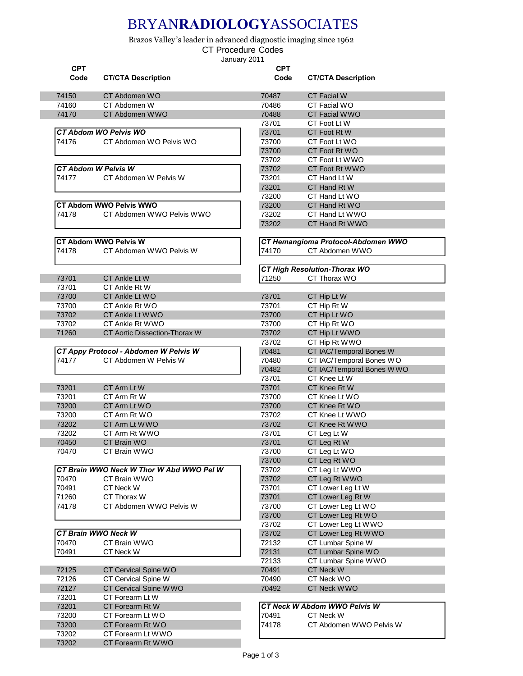## BRYAN**RADIOLOGY**ASSOCIATES

Brazos Valley's leader in advanced diagnostic imaging since 1962

CT Procedure Codes

January 2011

| CT Hemangioma Protocol-Abdomen WWO |
|------------------------------------|
|                                    |
|                                    |
|                                    |
|                                    |
|                                    |
|                                    |
|                                    |
|                                    |
|                                    |
|                                    |
|                                    |
|                                    |
|                                    |
|                                    |
|                                    |
|                                    |
|                                    |
|                                    |
|                                    |
|                                    |
|                                    |
|                                    |
|                                    |
|                                    |
|                                    |
|                                    |
|                                    |
|                                    |
|                                    |
|                                    |
|                                    |
| CT IAC/Temporal Bones W WO         |
|                                    |
|                                    |
|                                    |
|                                    |
|                                    |
|                                    |
|                                    |
|                                    |
|                                    |
|                                    |
|                                    |
|                                    |
|                                    |
|                                    |
|                                    |
|                                    |
|                                    |
|                                    |
|                                    |
|                                    |
|                                    |
|                                    |
|                                    |
|                                    |
|                                    |
|                                    |
|                                    |
|                                    |
|                                    |
| CT Abdomen WWO Pelvis W            |
| CT IAC/Temporal Bones WO           |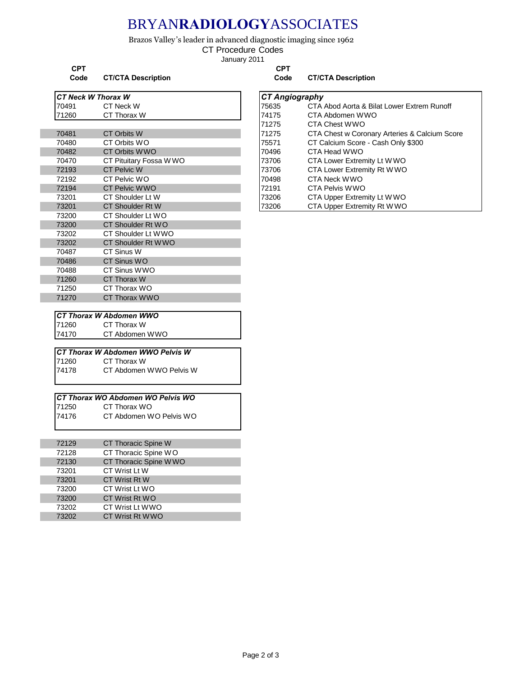## BRYAN**RADIOLOGY**ASSOCIATES

Brazos Valley's leader in advanced diagnostic imaging since 1962

CT Procedure Codes

January 2011

**CPT CPT**

|       | <b>CT Neck W Thorax W</b>         | <b>CT Angiography</b> |                                    |
|-------|-----------------------------------|-----------------------|------------------------------------|
| 70491 | CT Neck W                         | 75635                 | CTA Abod Aorta & Bilat Lower Extre |
| 71260 | CT Thorax W                       | 74175                 | CTA Abdomen WWO                    |
|       |                                   | 71275                 | CTA Chest WWO                      |
| 70481 | CT Orbits W                       | 71275                 | CTA Chest w Coronary Arteries & Ca |
| 70480 | CT Orbits WO                      | 75571                 | CT Calcium Score - Cash Only \$300 |
| 70482 | CT Orbits WWO                     | 70496                 | CTA Head WWO                       |
| 70470 | CT Pituitary Fossa WWO            | 73706                 | CTA Lower Extremity Lt W WO        |
| 72193 | <b>CT Pelvic W</b>                | 73706                 | CTA Lower Extremity Rt WWO         |
| 72192 | CT Pelvic WO                      | 70498                 | CTA Neck WWO                       |
| 72194 | <b>CT Pelvic WWO</b>              | 72191                 | <b>CTA Pelvis WWO</b>              |
| 73201 | CT Shoulder Lt W                  | 73206                 | CTA Upper Extremity Lt W WO        |
| 73201 | CT Shoulder Rt W                  | 73206                 | CTA Upper Extremity Rt WWO         |
| 73200 | CT Shoulder Lt WO                 |                       |                                    |
| 73200 | CT Shoulder Rt WO                 |                       |                                    |
| 73202 | CT Shoulder Lt WWO                |                       |                                    |
| 73202 | CT Shoulder Rt WWO                |                       |                                    |
| 70487 | CT Sinus W                        |                       |                                    |
| 70486 | CT Sinus WO                       |                       |                                    |
| 70488 | CT Sinus WWO                      |                       |                                    |
| 71260 | CT Thorax W                       |                       |                                    |
| 71250 | CT Thorax WO                      |                       |                                    |
| 71270 | <b>CT Thorax WWO</b>              |                       |                                    |
|       | <b>CT Thorax W Abdomen WWO</b>    |                       |                                    |
| 71260 | CT Thorax W                       |                       |                                    |
| 74170 | CT Abdomen WWO                    |                       |                                    |
|       | CT Thorax W Abdomen WWO Pelvis W  |                       |                                    |
| 71260 | CT Thorax W                       |                       |                                    |
| 74178 | CT Abdomen WWO Pelvis W           |                       |                                    |
|       | CT Thorax WO Abdomen WO Pelvis WO |                       |                                    |
| 71250 | CT Thorax WO                      |                       |                                    |
| 74176 | CT Abdomen WO Pelvis WO           |                       |                                    |

| 72129 | <b>CT Thoracic Spine W</b> |  |
|-------|----------------------------|--|
| 72128 | CT Thoracic Spine WO       |  |
| 72130 | CT Thoracic Spine WWO      |  |
| 73201 | CT Wrist Lt W              |  |
| 73201 | CT Wrist Rt W              |  |
| 73200 | CT Wrist Lt WO             |  |
| 73200 | CT Wrist Rt WO             |  |
| 73202 | CT Wrist Lt WWO            |  |
| 73202 | CT Wrist Rt WWO            |  |
|       |                            |  |

**Code CT/CTA Description Code CT/CTA Description**

|  | T Angiography: |  |
|--|----------------|--|
|  |                |  |
|  |                |  |

|       |                        | - - - - - - - - - - - - - - - |                                               |
|-------|------------------------|-------------------------------|-----------------------------------------------|
| 70491 | CT Neck W              | 75635                         | CTA Abod Aorta & Bilat Lower Extrem Runoff    |
| 71260 | CT Thorax W            | 74175                         | CTA Abdomen WWO                               |
|       |                        | 71275                         | CTA Chest WWO                                 |
| 70481 | CT Orbits W            | 71275                         | CTA Chest w Coronary Arteries & Calcium Score |
| 70480 | CT Orbits WO           | 75571                         | CT Calcium Score - Cash Only \$300            |
| 70482 | CT Orbits WWO          | 70496                         | CTA Head WWO                                  |
| 70470 | CT Pituitary Fossa WWO | 73706                         | CTA Lower Extremity Lt W WO                   |
| 72193 | <b>CT Pelvic W</b>     | 73706                         | CTA Lower Extremity Rt W WO                   |
| 72192 | CT Pelvic WO           | 70498                         | CTA Neck WWO                                  |
| 72194 | CT Pelvic WWO          | 72191                         | CTA Pelvis WWO                                |
| 73201 | CT Shoulder Lt W       | 73206                         | CTA Upper Extremity Lt W WO                   |
| 73201 | CT Shoulder Rt W       | 73206                         | CTA Upper Extremity Rt W WO                   |